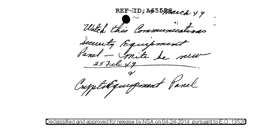REF ID; A655\$Bach 49 Watch this Communications Security Equipments  $\frac{2}{5}$   $\sqrt{9}$ Cupitalguespourt Panel

l and l approved for release l